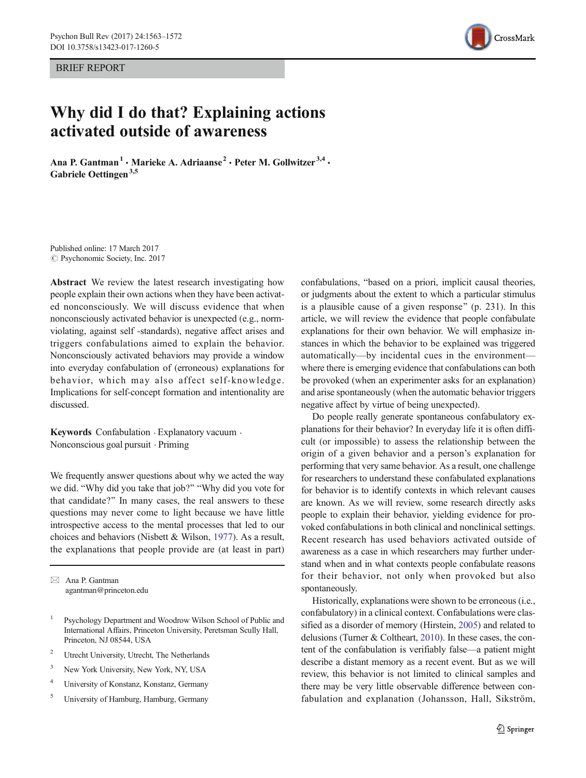BRIEF REPORT



# Why did I do that? Explaining actions activated outside of awareness

Ana P. Gantman<sup>1</sup> · Marieke A. Adriaanse<sup>2</sup> · Peter M. Gollwitzer<sup>3,4</sup> · Gabriele Oettingen<sup>3,5</sup>

Published online: 17 March 2017  $\circ$  Psychonomic Society, Inc. 2017

Abstract We review the latest research investigating how people explain their own actions when they have been activated nonconsciously. We will discuss evidence that when nonconsciously activated behavior is unexpected (e.g., normviolating, against self -standards), negative affect arises and triggers confabulations aimed to explain the behavior. Nonconsciously activated behaviors may provide a window into everyday confabulation of (erroneous) explanations for behavior, which may also affect self-knowledge. Implications for self-concept formation and intentionality are discussed.

Keywords Confabulation . Explanatory vacuum . Nonconscious goal pursuit . Priming

We frequently answer questions about why we acted the way we did. "Why did you take that job?" "Why did you vote for that candidate?" In many cases, the real answers to these questions may never come to light because we have little introspective access to the mental processes that led to our choices and behaviors (Nisbett & Wilson, [1977](#page-8-0)). As a result, the explanations that people provide are (at least in part)

 $\boxtimes$  Ana P. Gantman agantman@princeton.edu

- <sup>1</sup> Psychology Department and Woodrow Wilson School of Public and International Affairs, Princeton University, Peretsman Scully Hall, Princeton, NJ 08544, USA
- <sup>2</sup> Utrecht University, Utrecht, The Netherlands
- <sup>3</sup> New York University, New York, NY, USA
- <sup>4</sup> University of Konstanz, Konstanz, Germany
- <sup>5</sup> University of Hamburg, Hamburg, Germany

confabulations, "based on a priori, implicit causal theories, or judgments about the extent to which a particular stimulus is a plausible cause of a given response" (p. 231). In this article, we will review the evidence that people confabulate explanations for their own behavior. We will emphasize instances in which the behavior to be explained was triggered automatically—by incidental cues in the environment where there is emerging evidence that confabulations can both be provoked (when an experimenter asks for an explanation) and arise spontaneously (when the automatic behavior triggers negative affect by virtue of being unexpected).

Do people really generate spontaneous confabulatory explanations for their behavior? In everyday life it is often difficult (or impossible) to assess the relationship between the origin of a given behavior and a person's explanation for performing that very same behavior. As a result, one challenge for researchers to understand these confabulated explanations for behavior is to identify contexts in which relevant causes are known. As we will review, some research directly asks people to explain their behavior, yielding evidence for provoked confabulations in both clinical and nonclinical settings. Recent research has used behaviors activated outside of awareness as a case in which researchers may further understand when and in what contexts people confabulate reasons for their behavior, not only when provoked but also spontaneously.

Historically, explanations were shown to be erroneous (i.e., confabulatory) in a clinical context. Confabulations were classified as a disorder of memory (Hirstein, [2005\)](#page-8-0) and related to delusions (Turner & Coltheart, [2010\)](#page-9-0). In these cases, the content of the confabulation is verifiably false—a patient might describe a distant memory as a recent event. But as we will review, this behavior is not limited to clinical samples and there may be very little observable difference between confabulation and explanation (Johansson, Hall, Sikström,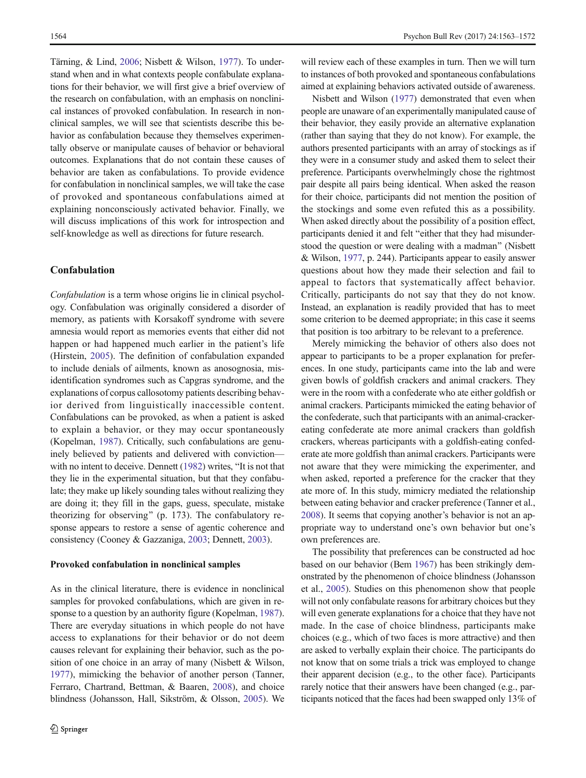Tärning, & Lind, [2006](#page-8-0); Nisbett & Wilson, [1977\)](#page-8-0). To understand when and in what contexts people confabulate explanations for their behavior, we will first give a brief overview of the research on confabulation, with an emphasis on nonclinical instances of provoked confabulation. In research in nonclinical samples, we will see that scientists describe this behavior as confabulation because they themselves experimentally observe or manipulate causes of behavior or behavioral outcomes. Explanations that do not contain these causes of behavior are taken as confabulations. To provide evidence for confabulation in nonclinical samples, we will take the case of provoked and spontaneous confabulations aimed at explaining nonconsciously activated behavior. Finally, we will discuss implications of this work for introspection and self-knowledge as well as directions for future research.

# Confabulation

Confabulation is a term whose origins lie in clinical psychology. Confabulation was originally considered a disorder of memory, as patients with Korsakoff syndrome with severe amnesia would report as memories events that either did not happen or had happened much earlier in the patient's life (Hirstein, [2005\)](#page-8-0). The definition of confabulation expanded to include denials of ailments, known as anosognosia, misidentification syndromes such as Capgras syndrome, and the explanations of corpus callosotomy patients describing behavior derived from linguistically inaccessible content. Confabulations can be provoked, as when a patient is asked to explain a behavior, or they may occur spontaneously (Kopelman, [1987](#page-8-0)). Critically, such confabulations are genuinely believed by patients and delivered with conviction with no intent to deceive. Dennett  $(1982)$  writes, "It is not that they lie in the experimental situation, but that they confabulate; they make up likely sounding tales without realizing they are doing it; they fill in the gaps, guess, speculate, mistake theorizing for observing" (p. 173). The confabulatory response appears to restore a sense of agentic coherence and consistency (Cooney & Gazzaniga, [2003;](#page-8-0) Dennett, [2003](#page-8-0)).

## Provoked confabulation in nonclinical samples

As in the clinical literature, there is evidence in nonclinical samples for provoked confabulations, which are given in response to a question by an authority figure (Kopelman, [1987\)](#page-8-0). There are everyday situations in which people do not have access to explanations for their behavior or do not deem causes relevant for explaining their behavior, such as the position of one choice in an array of many (Nisbett & Wilson, [1977\)](#page-8-0), mimicking the behavior of another person (Tanner, Ferraro, Chartrand, Bettman, & Baaren, [2008](#page-9-0)), and choice blindness (Johansson, Hall, Sikström, & Olsson, [2005](#page-8-0)). We will review each of these examples in turn. Then we will turn to instances of both provoked and spontaneous confabulations aimed at explaining behaviors activated outside of awareness.

Nisbett and Wilson [\(1977\)](#page-8-0) demonstrated that even when people are unaware of an experimentally manipulated cause of their behavior, they easily provide an alternative explanation (rather than saying that they do not know). For example, the authors presented participants with an array of stockings as if they were in a consumer study and asked them to select their preference. Participants overwhelmingly chose the rightmost pair despite all pairs being identical. When asked the reason for their choice, participants did not mention the position of the stockings and some even refuted this as a possibility. When asked directly about the possibility of a position effect, participants denied it and felt "either that they had misunderstood the question or were dealing with a madman^ (Nisbett & Wilson, [1977](#page-8-0), p. 244). Participants appear to easily answer questions about how they made their selection and fail to appeal to factors that systematically affect behavior. Critically, participants do not say that they do not know. Instead, an explanation is readily provided that has to meet some criterion to be deemed appropriate; in this case it seems that position is too arbitrary to be relevant to a preference.

Merely mimicking the behavior of others also does not appear to participants to be a proper explanation for preferences. In one study, participants came into the lab and were given bowls of goldfish crackers and animal crackers. They were in the room with a confederate who ate either goldfish or animal crackers. Participants mimicked the eating behavior of the confederate, such that participants with an animal-crackereating confederate ate more animal crackers than goldfish crackers, whereas participants with a goldfish-eating confederate ate more goldfish than animal crackers. Participants were not aware that they were mimicking the experimenter, and when asked, reported a preference for the cracker that they ate more of. In this study, mimicry mediated the relationship between eating behavior and cracker preference (Tanner et al., [2008\)](#page-9-0). It seems that copying another's behavior is not an appropriate way to understand one's own behavior but one's own preferences are.

The possibility that preferences can be constructed ad hoc based on our behavior (Bem [1967\)](#page-8-0) has been strikingly demonstrated by the phenomenon of choice blindness (Johansson et al., [2005](#page-8-0)). Studies on this phenomenon show that people will not only confabulate reasons for arbitrary choices but they will even generate explanations for a choice that they have not made. In the case of choice blindness, participants make choices (e.g., which of two faces is more attractive) and then are asked to verbally explain their choice. The participants do not know that on some trials a trick was employed to change their apparent decision (e.g., to the other face). Participants rarely notice that their answers have been changed (e.g., participants noticed that the faces had been swapped only 13% of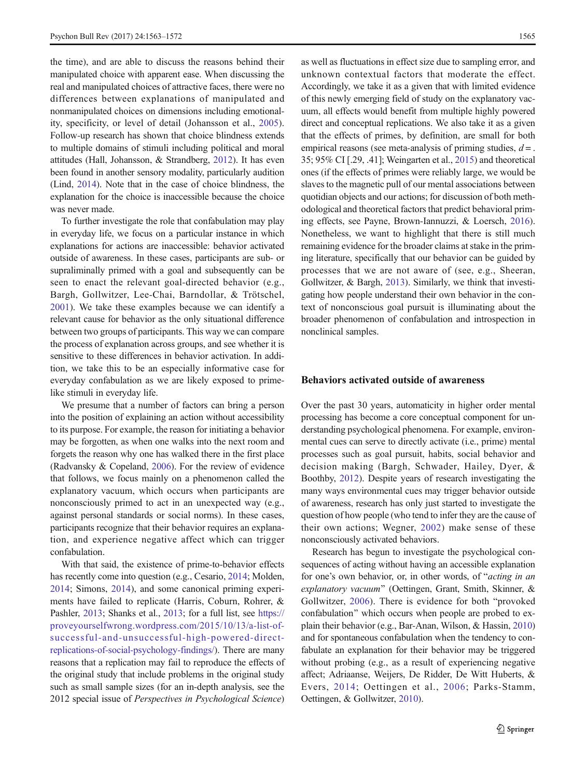the time), and are able to discuss the reasons behind their manipulated choice with apparent ease. When discussing the real and manipulated choices of attractive faces, there were no differences between explanations of manipulated and nonmanipulated choices on dimensions including emotionality, specificity, or level of detail (Johansson et al., [2005](#page-8-0)). Follow-up research has shown that choice blindness extends to multiple domains of stimuli including political and moral attitudes (Hall, Johansson, & Strandberg, [2012\)](#page-8-0). It has even been found in another sensory modality, particularly audition (Lind, [2014](#page-8-0)). Note that in the case of choice blindness, the explanation for the choice is inaccessible because the choice was never made.

To further investigate the role that confabulation may play in everyday life, we focus on a particular instance in which explanations for actions are inaccessible: behavior activated outside of awareness. In these cases, participants are sub- or supraliminally primed with a goal and subsequently can be seen to enact the relevant goal-directed behavior (e.g., Bargh, Gollwitzer, Lee-Chai, Barndollar, & Trötschel, [2001\)](#page-8-0). We take these examples because we can identify a relevant cause for behavior as the only situational difference between two groups of participants. This way we can compare the process of explanation across groups, and see whether it is sensitive to these differences in behavior activation. In addition, we take this to be an especially informative case for everyday confabulation as we are likely exposed to primelike stimuli in everyday life.

We presume that a number of factors can bring a person into the position of explaining an action without accessibility to its purpose. For example, the reason for initiating a behavior may be forgotten, as when one walks into the next room and forgets the reason why one has walked there in the first place (Radvansky & Copeland, [2006\)](#page-9-0). For the review of evidence that follows, we focus mainly on a phenomenon called the explanatory vacuum, which occurs when participants are nonconsciously primed to act in an unexpected way (e.g., against personal standards or social norms). In these cases, participants recognize that their behavior requires an explanation, and experience negative affect which can trigger confabulation.

With that said, the existence of prime-to-behavior effects has recently come into question (e.g., Cesario, [2014](#page-8-0); Molden, [2014;](#page-8-0) Simons, [2014](#page-9-0)), and some canonical priming experiments have failed to replicate (Harris, Coburn, Rohrer, & Pashler, [2013](#page-8-0); Shanks et al., [2013;](#page-9-0) for a full list, see [https://](https://proveyourselfwrong.wordpress.com/2015/10/13/a-list-of-successful-and-unsuccessful-high-powered-direct-replications-of-social-psychology-findings/) [proveyourselfwrong.wordpress.com/2015/10/13/a-list-of](https://proveyourselfwrong.wordpress.com/2015/10/13/a-list-of-successful-and-unsuccessful-high-powered-direct-replications-of-social-psychology-findings/)[successful-and-unsuccessful-high-powered-direct](https://proveyourselfwrong.wordpress.com/2015/10/13/a-list-of-successful-and-unsuccessful-high-powered-direct-replications-of-social-psychology-findings/)[replications-of-social-psychology-findings/\)](https://proveyourselfwrong.wordpress.com/2015/10/13/a-list-of-successful-and-unsuccessful-high-powered-direct-replications-of-social-psychology-findings/). There are many reasons that a replication may fail to reproduce the effects of the original study that include problems in the original study such as small sample sizes (for an in-depth analysis, see the 2012 special issue of Perspectives in Psychological Science)

as well as fluctuations in effect size due to sampling error, and unknown contextual factors that moderate the effect. Accordingly, we take it as a given that with limited evidence of this newly emerging field of study on the explanatory vacuum, all effects would benefit from multiple highly powered direct and conceptual replications. We also take it as a given that the effects of primes, by definition, are small for both empirical reasons (see meta-analysis of priming studies,  $d =$ . 35; 95% CI [.29, .41]; Weingarten et al., [2015](#page-9-0)) and theoretical ones (if the effects of primes were reliably large, we would be slaves to the magnetic pull of our mental associations between quotidian objects and our actions; for discussion of both methodological and theoretical factors that predict behavioral priming effects, see Payne, Brown-Iannuzzi, & Loersch, [2016\)](#page-8-0). Nonetheless, we want to highlight that there is still much remaining evidence for the broader claims at stake in the priming literature, specifically that our behavior can be guided by processes that we are not aware of (see, e.g., Sheeran, Gollwitzer, & Bargh, [2013\)](#page-9-0). Similarly, we think that investigating how people understand their own behavior in the context of nonconscious goal pursuit is illuminating about the broader phenomenon of confabulation and introspection in nonclinical samples.

# Behaviors activated outside of awareness

Over the past 30 years, automaticity in higher order mental processing has become a core conceptual component for understanding psychological phenomena. For example, environmental cues can serve to directly activate (i.e., prime) mental processes such as goal pursuit, habits, social behavior and decision making (Bargh, Schwader, Hailey, Dyer, & Boothby, [2012\)](#page-8-0). Despite years of research investigating the many ways environmental cues may trigger behavior outside of awareness, research has only just started to investigate the question of how people (who tend to infer they are the cause of their own actions; Wegner, [2002\)](#page-9-0) make sense of these nonconsciously activated behaviors.

Research has begun to investigate the psychological consequences of acting without having an accessible explanation for one's own behavior, or, in other words, of "*acting in an* explanatory vacuum" (Oettingen, Grant, Smith, Skinner, & Gollwitzer, [2006\)](#page-8-0). There is evidence for both "provoked" confabulation" which occurs when people are probed to explain their behavior (e.g., Bar-Anan, Wilson, & Hassin, [2010](#page-8-0)) and for spontaneous confabulation when the tendency to confabulate an explanation for their behavior may be triggered without probing (e.g., as a result of experiencing negative affect; Adriaanse, Weijers, De Ridder, De Witt Huberts, & Evers, [2014](#page-8-0); Oettingen et al., [2006;](#page-8-0) Parks-Stamm, Oettingen, & Gollwitzer, [2010](#page-8-0)).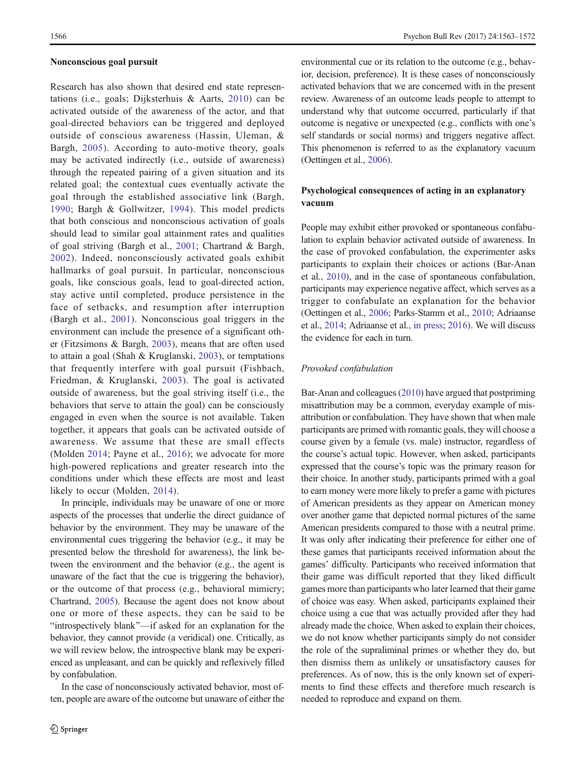## Nonconscious goal pursuit

Research has also shown that desired end state representations (i.e., goals; Dijksterhuis & Aarts, [2010\)](#page-8-0) can be activated outside of the awareness of the actor, and that goal-directed behaviors can be triggered and deployed outside of conscious awareness (Hassin, Uleman, & Bargh, [2005](#page-8-0)). According to auto-motive theory, goals may be activated indirectly (i.e., outside of awareness) through the repeated pairing of a given situation and its related goal; the contextual cues eventually activate the goal through the established associative link (Bargh, [1990;](#page-8-0) Bargh & Gollwitzer, [1994\)](#page-8-0). This model predicts that both conscious and nonconscious activation of goals should lead to similar goal attainment rates and qualities of goal striving (Bargh et al., [2001](#page-8-0); Chartrand & Bargh, [2002](#page-8-0)). Indeed, nonconsciously activated goals exhibit hallmarks of goal pursuit. In particular, nonconscious goals, like conscious goals, lead to goal-directed action, stay active until completed, produce persistence in the face of setbacks, and resumption after interruption (Bargh et al., [2001](#page-8-0)). Nonconscious goal triggers in the environment can include the presence of a significant other (Fitzsimons & Bargh, [2003\)](#page-8-0), means that are often used to attain a goal (Shah & Kruglanski, [2003](#page-9-0)), or temptations that frequently interfere with goal pursuit (Fishbach, Friedman, & Kruglanski, [2003\)](#page-8-0). The goal is activated outside of awareness, but the goal striving itself (i.e., the behaviors that serve to attain the goal) can be consciously engaged in even when the source is not available. Taken together, it appears that goals can be activated outside of awareness. We assume that these are small effects (Molden [2014](#page-8-0); Payne et al., [2016](#page-8-0)); we advocate for more high-powered replications and greater research into the conditions under which these effects are most and least likely to occur (Molden, [2014](#page-8-0)).

In principle, individuals may be unaware of one or more aspects of the processes that underlie the direct guidance of behavior by the environment. They may be unaware of the environmental cues triggering the behavior (e.g., it may be presented below the threshold for awareness), the link between the environment and the behavior (e.g., the agent is unaware of the fact that the cue is triggering the behavior), or the outcome of that process (e.g., behavioral mimicry; Chartrand, [2005](#page-8-0)). Because the agent does not know about one or more of these aspects, they can be said to be Bintrospectively blank^—if asked for an explanation for the behavior, they cannot provide (a veridical) one. Critically, as we will review below, the introspective blank may be experienced as unpleasant, and can be quickly and reflexively filled by confabulation.

In the case of nonconsciously activated behavior, most often, people are aware of the outcome but unaware of either the

environmental cue or its relation to the outcome (e.g., behavior, decision, preference). It is these cases of nonconsciously activated behaviors that we are concerned with in the present review. Awareness of an outcome leads people to attempt to understand why that outcome occurred, particularly if that outcome is negative or unexpected (e.g., conflicts with one's self standards or social norms) and triggers negative affect. This phenomenon is referred to as the explanatory vacuum (Oettingen et al., [2006\)](#page-8-0).

# Psychological consequences of acting in an explanatory vacuum

People may exhibit either provoked or spontaneous confabulation to explain behavior activated outside of awareness. In the case of provoked confabulation, the experimenter asks participants to explain their choices or actions (Bar-Anan et al., [2010\)](#page-8-0), and in the case of spontaneous confabulation, participants may experience negative affect, which serves as a trigger to confabulate an explanation for the behavior (Oettingen et al., [2006;](#page-8-0) Parks-Stamm et al., [2010](#page-8-0); Adriaanse et al., [2014;](#page-8-0) Adriaanse et al., [in press](#page-8-0); [2016](#page-8-0)). We will discuss the evidence for each in turn.

# Provoked confabulation

Bar-Anan and colleagues [\(2010\)](#page-8-0) have argued that postpriming misattribution may be a common, everyday example of misattribution or confabulation. They have shown that when male participants are primed with romantic goals, they will choose a course given by a female (vs. male) instructor, regardless of the course's actual topic. However, when asked, participants expressed that the course's topic was the primary reason for their choice. In another study, participants primed with a goal to earn money were more likely to prefer a game with pictures of American presidents as they appear on American money over another game that depicted normal pictures of the same American presidents compared to those with a neutral prime. It was only after indicating their preference for either one of these games that participants received information about the games' difficulty. Participants who received information that their game was difficult reported that they liked difficult games more than participants who later learned that their game of choice was easy. When asked, participants explained their choice using a cue that was actually provided after they had already made the choice. When asked to explain their choices, we do not know whether participants simply do not consider the role of the supraliminal primes or whether they do, but then dismiss them as unlikely or unsatisfactory causes for preferences. As of now, this is the only known set of experiments to find these effects and therefore much research is needed to reproduce and expand on them.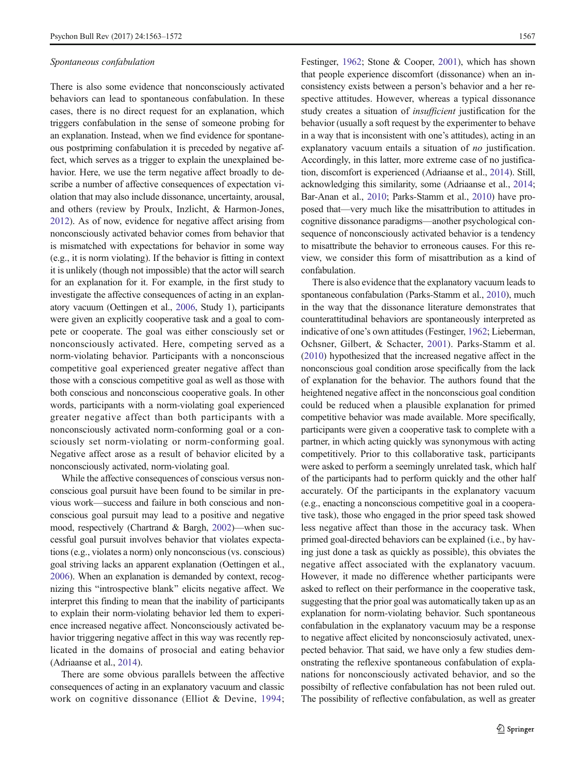#### Spontaneous confabulation

There is also some evidence that nonconsciously activated behaviors can lead to spontaneous confabulation. In these cases, there is no direct request for an explanation, which triggers confabulation in the sense of someone probing for an explanation. Instead, when we find evidence for spontaneous postpriming confabulation it is preceded by negative affect, which serves as a trigger to explain the unexplained behavior. Here, we use the term negative affect broadly to describe a number of affective consequences of expectation violation that may also include dissonance, uncertainty, arousal, and others (review by Proulx, Inzlicht, & Harmon-Jones, [2012\)](#page-9-0). As of now, evidence for negative affect arising from nonconsciously activated behavior comes from behavior that is mismatched with expectations for behavior in some way (e.g., it is norm violating). If the behavior is fitting in context it is unlikely (though not impossible) that the actor will search for an explanation for it. For example, in the first study to investigate the affective consequences of acting in an explanatory vacuum (Oettingen et al., [2006](#page-8-0), Study 1), participants were given an explicitly cooperative task and a goal to compete or cooperate. The goal was either consciously set or nonconsciously activated. Here, competing served as a norm-violating behavior. Participants with a nonconscious competitive goal experienced greater negative affect than those with a conscious competitive goal as well as those with both conscious and nonconscious cooperative goals. In other words, participants with a norm-violating goal experienced greater negative affect than both participants with a nonconsciously activated norm-conforming goal or a consciously set norm-violating or norm-conforming goal. Negative affect arose as a result of behavior elicited by a nonconsciously activated, norm-violating goal.

While the affective consequences of conscious versus nonconscious goal pursuit have been found to be similar in previous work—success and failure in both conscious and nonconscious goal pursuit may lead to a positive and negative mood, respectively (Chartrand & Bargh, [2002](#page-8-0))—when successful goal pursuit involves behavior that violates expectations (e.g., violates a norm) only nonconscious (vs. conscious) goal striving lacks an apparent explanation (Oettingen et al., [2006\)](#page-8-0). When an explanation is demanded by context, recognizing this "introspective blank" elicits negative affect. We interpret this finding to mean that the inability of participants to explain their norm-violating behavior led them to experience increased negative affect. Nonconsciously activated behavior triggering negative affect in this way was recently replicated in the domains of prosocial and eating behavior (Adriaanse et al., [2014](#page-8-0)).

There are some obvious parallels between the affective consequences of acting in an explanatory vacuum and classic work on cognitive dissonance (Elliot & Devine, [1994](#page-8-0);

Festinger, [1962;](#page-8-0) Stone & Cooper, [2001](#page-9-0)), which has shown that people experience discomfort (dissonance) when an inconsistency exists between a person's behavior and a her respective attitudes. However, whereas a typical dissonance study creates a situation of insufficient justification for the behavior (usually a soft request by the experimenter to behave in a way that is inconsistent with one's attitudes), acting in an explanatory vacuum entails a situation of *no* justification. Accordingly, in this latter, more extreme case of no justification, discomfort is experienced (Adriaanse et al., [2014\)](#page-8-0). Still, acknowledging this similarity, some (Adriaanse et al., [2014;](#page-8-0) Bar-Anan et al., [2010;](#page-8-0) Parks-Stamm et al., [2010\)](#page-8-0) have proposed that—very much like the misattribution to attitudes in cognitive dissonance paradigms—another psychological consequence of nonconsciously activated behavior is a tendency to misattribute the behavior to erroneous causes. For this review, we consider this form of misattribution as a kind of confabulation.

There is also evidence that the explanatory vacuum leads to spontaneous confabulation (Parks-Stamm et al., [2010](#page-8-0)), much in the way that the dissonance literature demonstrates that counterattitudinal behaviors are spontaneously interpreted as indicative of one's own attitudes (Festinger, [1962](#page-8-0); Lieberman, Ochsner, Gilbert, & Schacter, [2001\)](#page-8-0). Parks-Stamm et al. [\(2010\)](#page-8-0) hypothesized that the increased negative affect in the nonconscious goal condition arose specifically from the lack of explanation for the behavior. The authors found that the heightened negative affect in the nonconscious goal condition could be reduced when a plausible explanation for primed competitive behavior was made available. More specifically, participants were given a cooperative task to complete with a partner, in which acting quickly was synonymous with acting competitively. Prior to this collaborative task, participants were asked to perform a seemingly unrelated task, which half of the participants had to perform quickly and the other half accurately. Of the participants in the explanatory vacuum (e.g., enacting a nonconscious competitive goal in a cooperative task), those who engaged in the prior speed task showed less negative affect than those in the accuracy task. When primed goal-directed behaviors can be explained (i.e., by having just done a task as quickly as possible), this obviates the negative affect associated with the explanatory vacuum. However, it made no difference whether participants were asked to reflect on their performance in the cooperative task, suggesting that the prior goal was automatically taken up as an explanation for norm-violating behavior. Such spontaneous confabulation in the explanatory vacuum may be a response to negative affect elicited by nonconsciosuly activated, unexpected behavior. That said, we have only a few studies demonstrating the reflexive spontaneous confabulation of explanations for nonconsciously activated behavior, and so the possibilty of reflective confabulation has not been ruled out. The possibility of reflective confabulation, as well as greater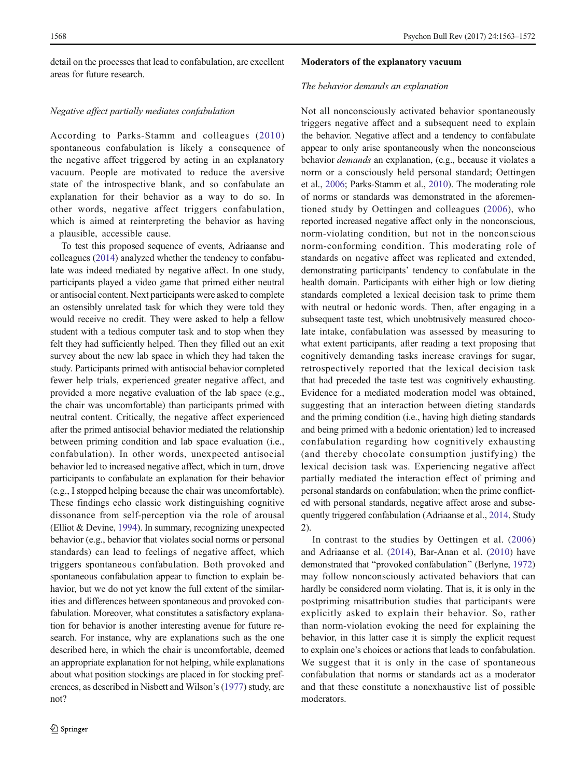detail on the processes that lead to confabulation, are excellent areas for future research.

# Negative affect partially mediates confabulation

According to Parks-Stamm and colleagues ([2010\)](#page-8-0) spontaneous confabulation is likely a consequence of the negative affect triggered by acting in an explanatory vacuum. People are motivated to reduce the aversive state of the introspective blank, and so confabulate an explanation for their behavior as a way to do so. In other words, negative affect triggers confabulation, which is aimed at reinterpreting the behavior as having a plausible, accessible cause.

To test this proposed sequence of events, Adriaanse and colleagues [\(2014\)](#page-8-0) analyzed whether the tendency to confabulate was indeed mediated by negative affect. In one study, participants played a video game that primed either neutral or antisocial content. Next participants were asked to complete an ostensibly unrelated task for which they were told they would receive no credit. They were asked to help a fellow student with a tedious computer task and to stop when they felt they had sufficiently helped. Then they filled out an exit survey about the new lab space in which they had taken the study. Participants primed with antisocial behavior completed fewer help trials, experienced greater negative affect, and provided a more negative evaluation of the lab space (e.g., the chair was uncomfortable) than participants primed with neutral content. Critically, the negative affect experienced after the primed antisocial behavior mediated the relationship between priming condition and lab space evaluation (i.e., confabulation). In other words, unexpected antisocial behavior led to increased negative affect, which in turn, drove participants to confabulate an explanation for their behavior (e.g., I stopped helping because the chair was uncomfortable). These findings echo classic work distinguishing cognitive dissonance from self-perception via the role of arousal (Elliot & Devine, [1994](#page-8-0)). In summary, recognizing unexpected behavior (e.g., behavior that violates social norms or personal standards) can lead to feelings of negative affect, which triggers spontaneous confabulation. Both provoked and spontaneous confabulation appear to function to explain behavior, but we do not yet know the full extent of the similarities and differences between spontaneous and provoked confabulation. Moreover, what constitutes a satisfactory explanation for behavior is another interesting avenue for future research. For instance, why are explanations such as the one described here, in which the chair is uncomfortable, deemed an appropriate explanation for not helping, while explanations about what position stockings are placed in for stocking preferences, as described in Nisbett and Wilson's ([1977](#page-8-0)) study, are not?

## Moderators of the explanatory vacuum

## The behavior demands an explanation

Not all nonconsciously activated behavior spontaneously triggers negative affect and a subsequent need to explain the behavior. Negative affect and a tendency to confabulate appear to only arise spontaneously when the nonconscious behavior demands an explanation, (e.g., because it violates a norm or a consciously held personal standard; Oettingen et al., [2006](#page-8-0); Parks-Stamm et al., [2010](#page-8-0)). The moderating role of norms or standards was demonstrated in the aforementioned study by Oettingen and colleagues ([2006](#page-8-0)), who reported increased negative affect only in the nonconscious, norm-violating condition, but not in the nonconscious norm-conforming condition. This moderating role of standards on negative affect was replicated and extended, demonstrating participants' tendency to confabulate in the health domain. Participants with either high or low dieting standards completed a lexical decision task to prime them with neutral or hedonic words. Then, after engaging in a subsequent taste test, which unobtrusively measured chocolate intake, confabulation was assessed by measuring to what extent participants, after reading a text proposing that cognitively demanding tasks increase cravings for sugar, retrospectively reported that the lexical decision task that had preceded the taste test was cognitively exhausting. Evidence for a mediated moderation model was obtained, suggesting that an interaction between dieting standards and the priming condition (i.e., having high dieting standards and being primed with a hedonic orientation) led to increased confabulation regarding how cognitively exhausting (and thereby chocolate consumption justifying) the lexical decision task was. Experiencing negative affect partially mediated the interaction effect of priming and personal standards on confabulation; when the prime conflicted with personal standards, negative affect arose and subsequently triggered confabulation (Adriaanse et al., [2014,](#page-8-0) Study 2).

In contrast to the studies by Oettingen et al. ([2006](#page-8-0)) and Adriaanse et al. ([2014](#page-8-0)), Bar-Anan et al. ([2010](#page-8-0)) have demonstrated that "provoked confabulation" (Berlyne, [1972](#page-8-0)) may follow nonconsciously activated behaviors that can hardly be considered norm violating. That is, it is only in the postpriming misattribution studies that participants were explicitly asked to explain their behavior. So, rather than norm-violation evoking the need for explaining the behavior, in this latter case it is simply the explicit request to explain one's choices or actions that leads to confabulation. We suggest that it is only in the case of spontaneous confabulation that norms or standards act as a moderator and that these constitute a nonexhaustive list of possible moderators.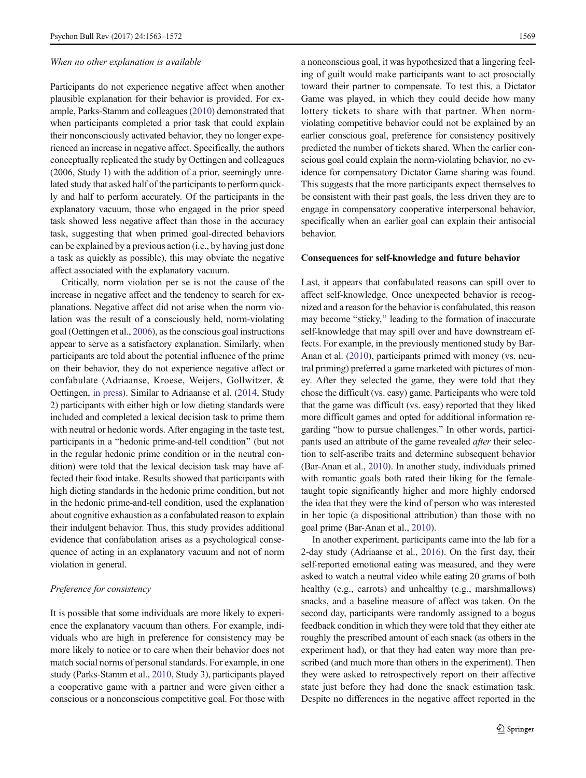### When no other explanation is available

Participants do not experience negative affect when another plausible explanation for their behavior is provided. For example, Parks-Stamm and colleagues ([2010](#page-8-0)) demonstrated that when participants completed a prior task that could explain their nonconsciously activated behavior, they no longer experienced an increase in negative affect. Specifically, the authors conceptually replicated the study by Oettingen and colleagues (2006, Study 1) with the addition of a prior, seemingly unrelated study that asked half of the participants to perform quickly and half to perform accurately. Of the participants in the explanatory vacuum, those who engaged in the prior speed task showed less negative affect than those in the accuracy task, suggesting that when primed goal-directed behaviors can be explained by a previous action (i.e., by having just done a task as quickly as possible), this may obviate the negative affect associated with the explanatory vacuum.

Critically, norm violation per se is not the cause of the increase in negative affect and the tendency to search for explanations. Negative affect did not arise when the norm violation was the result of a consciously held, norm-violating goal (Oettingen et al., [2006\)](#page-8-0), as the conscious goal instructions appear to serve as a satisfactory explanation. Similarly, when participants are told about the potential influence of the prime on their behavior, they do not experience negative affect or confabulate (Adriaanse, Kroese, Weijers, Gollwitzer, & Oettingen, [in press\)](#page-8-0). Similar to Adriaanse et al. ([2014](#page-8-0), Study 2) participants with either high or low dieting standards were included and completed a lexical decision task to prime them with neutral or hedonic words. After engaging in the taste test, participants in a "hedonic prime-and-tell condition" (but not in the regular hedonic prime condition or in the neutral condition) were told that the lexical decision task may have affected their food intake. Results showed that participants with high dieting standards in the hedonic prime condition, but not in the hedonic prime-and-tell condition, used the explanation about cognitive exhaustion as a confabulated reason to explain their indulgent behavior. Thus, this study provides additional evidence that confabulation arises as a psychological consequence of acting in an explanatory vacuum and not of norm violation in general.

# Preference for consistency

It is possible that some individuals are more likely to experience the explanatory vacuum than others. For example, individuals who are high in preference for consistency may be more likely to notice or to care when their behavior does not match social norms of personal standards. For example, in one study (Parks-Stamm et al., [2010](#page-8-0), Study 3), participants played a cooperative game with a partner and were given either a conscious or a nonconscious competitive goal. For those with

a nonconscious goal, it was hypothesized that a lingering feeling of guilt would make participants want to act prosocially toward their partner to compensate. To test this, a Dictator Game was played, in which they could decide how many lottery tickets to share with that partner. When normviolating competitive behavior could not be explained by an earlier conscious goal, preference for consistency positively predicted the number of tickets shared. When the earlier conscious goal could explain the norm-violating behavior, no evidence for compensatory Dictator Game sharing was found. This suggests that the more participants expect themselves to be consistent with their past goals, the less driven they are to engage in compensatory cooperative interpersonal behavior, specifically when an earlier goal can explain their antisocial behavior.

### Consequences for self-knowledge and future behavior

Last, it appears that confabulated reasons can spill over to affect self-knowledge. Once unexpected behavior is recognized and a reason for the behavior is confabulated, this reason may become "sticky," leading to the formation of inaccurate self-knowledge that may spill over and have downstream effects. For example, in the previously mentioned study by Bar-Anan et al. [\(2010\)](#page-8-0), participants primed with money (vs. neutral priming) preferred a game marketed with pictures of money. After they selected the game, they were told that they chose the difficult (vs. easy) game. Participants who were told that the game was difficult (vs. easy) reported that they liked more difficult games and opted for additional information regarding "how to pursue challenges." In other words, participants used an attribute of the game revealed *after* their selection to self-ascribe traits and determine subsequent behavior (Bar-Anan et al., [2010](#page-8-0)). In another study, individuals primed with romantic goals both rated their liking for the femaletaught topic significantly higher and more highly endorsed the idea that they were the kind of person who was interested in her topic (a dispositional attribution) than those with no goal prime (Bar-Anan et al., [2010](#page-8-0)).

In another experiment, participants came into the lab for a 2-day study (Adriaanse et al., [2016](#page-8-0)). On the first day, their self-reported emotional eating was measured, and they were asked to watch a neutral video while eating 20 grams of both healthy (e.g., carrots) and unhealthy (e.g., marshmallows) snacks, and a baseline measure of affect was taken. On the second day, participants were randomly assigned to a bogus feedback condition in which they were told that they either ate roughly the prescribed amount of each snack (as others in the experiment had), or that they had eaten way more than prescribed (and much more than others in the experiment). Then they were asked to retrospectively report on their affective state just before they had done the snack estimation task. Despite no differences in the negative affect reported in the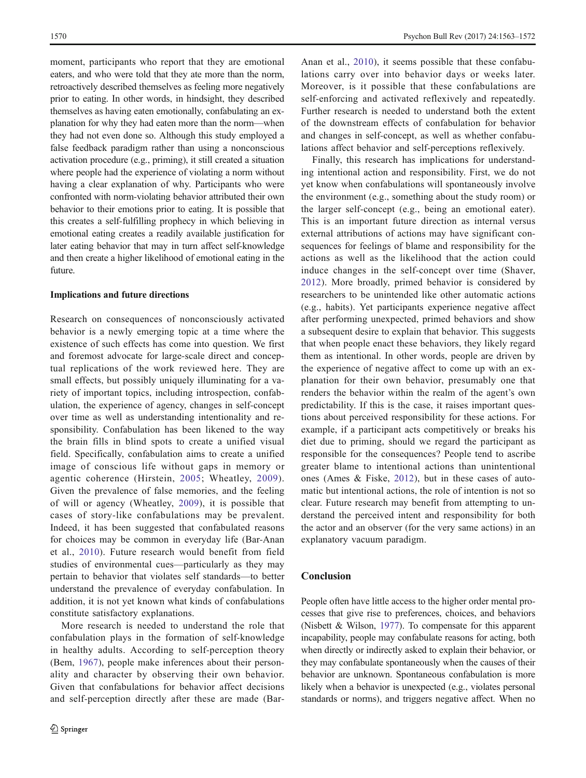moment, participants who report that they are emotional eaters, and who were told that they ate more than the norm, retroactively described themselves as feeling more negatively prior to eating. In other words, in hindsight, they described themselves as having eaten emotionally, confabulating an explanation for why they had eaten more than the norm—when they had not even done so. Although this study employed a false feedback paradigm rather than using a nonconscious activation procedure (e.g., priming), it still created a situation where people had the experience of violating a norm without having a clear explanation of why. Participants who were confronted with norm-violating behavior attributed their own behavior to their emotions prior to eating. It is possible that this creates a self-fulfilling prophecy in which believing in emotional eating creates a readily available justification for later eating behavior that may in turn affect self-knowledge and then create a higher likelihood of emotional eating in the future.

#### Implications and future directions

Research on consequences of nonconsciously activated behavior is a newly emerging topic at a time where the existence of such effects has come into question. We first and foremost advocate for large-scale direct and conceptual replications of the work reviewed here. They are small effects, but possibly uniquely illuminating for a variety of important topics, including introspection, confabulation, the experience of agency, changes in self-concept over time as well as understanding intentionality and responsibility. Confabulation has been likened to the way the brain fills in blind spots to create a unified visual field. Specifically, confabulation aims to create a unified image of conscious life without gaps in memory or agentic coherence (Hirstein, [2005;](#page-8-0) Wheatley, [2009\)](#page-9-0). Given the prevalence of false memories, and the feeling of will or agency (Wheatley, [2009](#page-9-0)), it is possible that cases of story-like confabulations may be prevalent. Indeed, it has been suggested that confabulated reasons for choices may be common in everyday life (Bar-Anan et al., [2010](#page-8-0)). Future research would benefit from field studies of environmental cues—particularly as they may pertain to behavior that violates self standards—to better understand the prevalence of everyday confabulation. In addition, it is not yet known what kinds of confabulations constitute satisfactory explanations.

More research is needed to understand the role that confabulation plays in the formation of self-knowledge in healthy adults. According to self-perception theory (Bem, [1967\)](#page-8-0), people make inferences about their personality and character by observing their own behavior. Given that confabulations for behavior affect decisions and self-perception directly after these are made (Bar-

Anan et al., [2010\)](#page-8-0), it seems possible that these confabulations carry over into behavior days or weeks later. Moreover, is it possible that these confabulations are self-enforcing and activated reflexively and repeatedly. Further research is needed to understand both the extent of the downstream effects of confabulation for behavior and changes in self-concept, as well as whether confabulations affect behavior and self-perceptions reflexively.

Finally, this research has implications for understanding intentional action and responsibility. First, we do not yet know when confabulations will spontaneously involve the environment (e.g., something about the study room) or the larger self-concept (e.g., being an emotional eater). This is an important future direction as internal versus external attributions of actions may have significant consequences for feelings of blame and responsibility for the actions as well as the likelihood that the action could induce changes in the self-concept over time (Shaver, [2012\)](#page-9-0). More broadly, primed behavior is considered by researchers to be unintended like other automatic actions (e.g., habits). Yet participants experience negative affect after performing unexpected, primed behaviors and show a subsequent desire to explain that behavior. This suggests that when people enact these behaviors, they likely regard them as intentional. In other words, people are driven by the experience of negative affect to come up with an explanation for their own behavior, presumably one that renders the behavior within the realm of the agent's own predictability. If this is the case, it raises important questions about perceived responsibility for these actions. For example, if a participant acts competitively or breaks his diet due to priming, should we regard the participant as responsible for the consequences? People tend to ascribe greater blame to intentional actions than unintentional ones (Ames & Fiske, [2012](#page-8-0)), but in these cases of automatic but intentional actions, the role of intention is not so clear. Future research may benefit from attempting to understand the perceived intent and responsibility for both the actor and an observer (for the very same actions) in an explanatory vacuum paradigm.

## Conclusion

People often have little access to the higher order mental processes that give rise to preferences, choices, and behaviors (Nisbett & Wilson, [1977\)](#page-8-0). To compensate for this apparent incapability, people may confabulate reasons for acting, both when directly or indirectly asked to explain their behavior, or they may confabulate spontaneously when the causes of their behavior are unknown. Spontaneous confabulation is more likely when a behavior is unexpected (e.g., violates personal standards or norms), and triggers negative affect. When no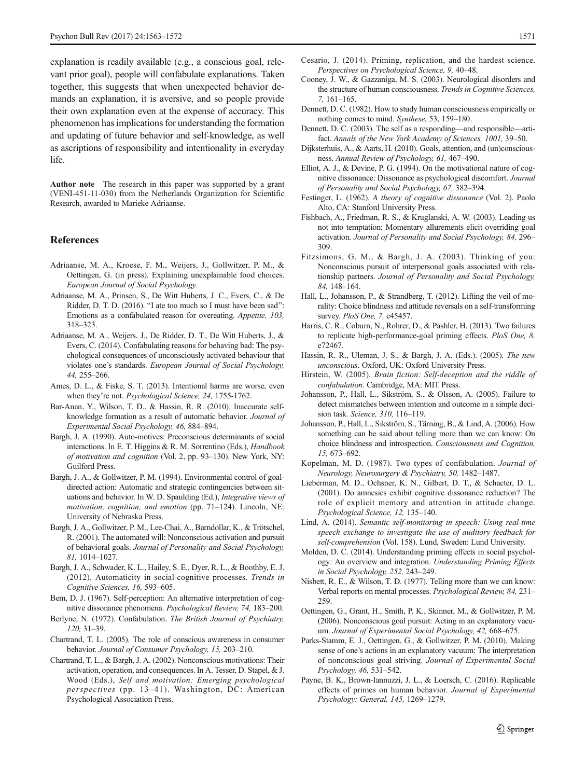<span id="page-8-0"></span>explanation is readily available (e.g., a conscious goal, relevant prior goal), people will confabulate explanations. Taken together, this suggests that when unexpected behavior demands an explanation, it is aversive, and so people provide their own explanation even at the expense of accuracy. This phenomenon has implications for understanding the formation and updating of future behavior and self-knowledge, as well as ascriptions of responsibility and intentionality in everyday life.

Author note The research in this paper was supported by a grant (VENI-451-11-030) from the Netherlands Organization for Scientific Research, awarded to Marieke Adriaanse.

## References

- Adriaanse, M. A., Kroese, F. M., Weijers, J., Gollwitzer, P. M., & Oettingen, G. (in press). Explaining unexplainable food choices. European Journal of Social Psychology.
- Adriaanse, M. A., Prinsen, S., De Witt Huberts, J. C., Evers, C., & De Ridder, D. T. D. (2016). "I ate too much so I must have been sad": Emotions as a confabulated reason for overeating. Appetite, 103, 318–323.
- Adriaanse, M. A., Weijers, J., De Ridder, D. T., De Witt Huberts, J., & Evers, C. (2014). Confabulating reasons for behaving bad: The psychological consequences of unconsciously activated behaviour that violates one's standards. European Journal of Social Psychology, 44, 255–266.
- Ames, D. L., & Fiske, S. T. (2013). Intentional harms are worse, even when they're not. Psychological Science, 24, 1755-1762.
- Bar-Anan, Y., Wilson, T. D., & Hassin, R. R. (2010). Inaccurate selfknowledge formation as a result of automatic behavior. Journal of Experimental Social Psychology, 46, 884–894.
- Bargh, J. A. (1990). Auto-motives: Preconscious determinants of social interactions. In E. T. Higgins & R. M. Sorrentino (Eds.), Handbook of motivation and cognition (Vol. 2, pp. 93–130). New York, NY: Guilford Press.
- Bargh, J. A., & Gollwitzer, P. M. (1994). Environmental control of goaldirected action: Automatic and strategic contingencies between situations and behavior. In W. D. Spaulding (Ed.), Integrative views of motivation, cognition, and emotion (pp. 71–124). Lincoln, NE: University of Nebraska Press.
- Bargh, J. A., Gollwitzer, P. M., Lee-Chai, A., Barndollar, K., & Trötschel, R. (2001). The automated will: Nonconscious activation and pursuit of behavioral goals. Journal of Personality and Social Psychology, 81, 1014–1027.
- Bargh, J. A., Schwader, K. L., Hailey, S. E., Dyer, R. L., & Boothby, E. J. (2012). Automaticity in social-cognitive processes. Trends in Cognitive Sciences, 16, 593–605.
- Bem, D. J. (1967). Self-perception: An alternative interpretation of cognitive dissonance phenomena. Psychological Review, 74, 183–200.
- Berlyne, N. (1972). Confabulation. The British Journal of Psychiatry, 120, 31–39.
- Chartrand, T. L. (2005). The role of conscious awareness in consumer behavior. Journal of Consumer Psychology, 15, 203–210.
- Chartrand, T. L., & Bargh, J. A. (2002). Nonconscious motivations: Their activation, operation, and consequences. In A. Tesser, D. Stapel, & J. Wood (Eds.), Self and motivation: Emerging psychological perspectives (pp. 13–41). Washington, DC: American Psychological Association Press.
- Cesario, J. (2014). Priming, replication, and the hardest science. Perspectives on Psychological Science, 9, 40–48.
- Cooney, J. W., & Gazzaniga, M. S. (2003). Neurological disorders and the structure of human consciousness. Trends in Cognitive Sciences, 7, 161–165.
- Dennett, D. C. (1982). How to study human consciousness empirically or nothing comes to mind. Synthese, 53, 159–180.
- Dennett, D. C. (2003). The self as a responding—and responsible—artifact. Annals of the New York Academy of Sciences, 1001, 39–50.
- Dijksterhuis, A., & Aarts, H. (2010). Goals, attention, and (un)consciousness. Annual Review of Psychology, 61, 467–490.
- Elliot, A. J., & Devine, P. G. (1994). On the motivational nature of cognitive dissonance: Dissonance as psychological discomfort. Journal of Personality and Social Psychology, 67, 382–394.
- Festinger, L. (1962). A theory of cognitive dissonance (Vol. 2). Paolo Alto, CA: Stanford University Press.
- Fishbach, A., Friedman, R. S., & Kruglanski, A. W. (2003). Leading us not into temptation: Momentary allurements elicit overriding goal activation. Journal of Personality and Social Psychology, 84, 296– 309.
- Fitzsimons, G. M., & Bargh, J. A. (2003). Thinking of you: Nonconscious pursuit of interpersonal goals associated with relationship partners. Journal of Personality and Social Psychology, 84, 148–164.
- Hall, L., Johansson, P., & Strandberg, T. (2012). Lifting the veil of morality: Choice blindness and attitude reversals on a self-transforming survey. PloS One, 7, e45457.
- Harris, C. R., Coburn, N., Rohrer, D., & Pashler, H. (2013). Two failures to replicate high-performance-goal priming effects. PloS One, 8, e72467.
- Hassin, R. R., Uleman, J. S., & Bargh, J. A. (Eds.). (2005). The new unconscious. Oxford, UK: Oxford University Press.
- Hirstein, W. (2005). Brain fiction: Self-deception and the riddle of confabulation. Cambridge, MA: MIT Press.
- Johansson, P., Hall, L., Sikström, S., & Olsson, A. (2005). Failure to detect mismatches between intention and outcome in a simple decision task. Science, 310, 116–119.
- Johansson, P., Hall, L., Sikström, S., Tärning, B., & Lind, A. (2006). How something can be said about telling more than we can know: On choice blindness and introspection. Consciousness and Cognition, 15, 673–692.
- Kopelman, M. D. (1987). Two types of confabulation. Journal of Neurology, Neurosurgery & Psychiatry, 50, 1482–1487.
- Lieberman, M. D., Ochsner, K. N., Gilbert, D. T., & Schacter, D. L. (2001). Do amnesics exhibit cognitive dissonance reduction? The role of explicit memory and attention in attitude change. Psychological Science, 12, 135–140.
- Lind, A. (2014). Semantic self-monitoring in speech: Using real-time speech exchange to investigate the use of auditory feedback for self-comprehension (Vol. 158). Lund, Sweden: Lund University.
- Molden, D. C. (2014). Understanding priming effects in social psychology: An overview and integration. Understanding Priming Effects in Social Psychology, 252, 243–249.
- Nisbett, R. E., & Wilson, T. D. (1977). Telling more than we can know: Verbal reports on mental processes. Psychological Review, 84, 231– 259.
- Oettingen, G., Grant, H., Smith, P. K., Skinner, M., & Gollwitzer, P. M. (2006). Nonconscious goal pursuit: Acting in an explanatory vacuum. Journal of Experimental Social Psychology, 42, 668–675.
- Parks-Stamm, E. J., Oettingen, G., & Gollwitzer, P. M. (2010). Making sense of one's actions in an explanatory vacuum: The interpretation of nonconscious goal striving. Journal of Experimental Social Psychology, 46, 531–542.
- Payne, B. K., Brown-Iannuzzi, J. L., & Loersch, C. (2016). Replicable effects of primes on human behavior. Journal of Experimental Psychology: General, 145, 1269–1279.